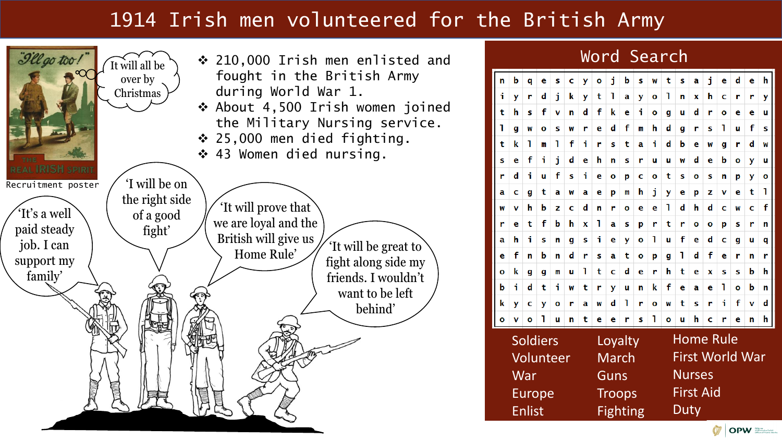# 1914 Irish men volunteered for the British Army



**OPW** *Starting Public Works* 

Home Rule

**Nurses** 

First Aid

**Duty** 

First World War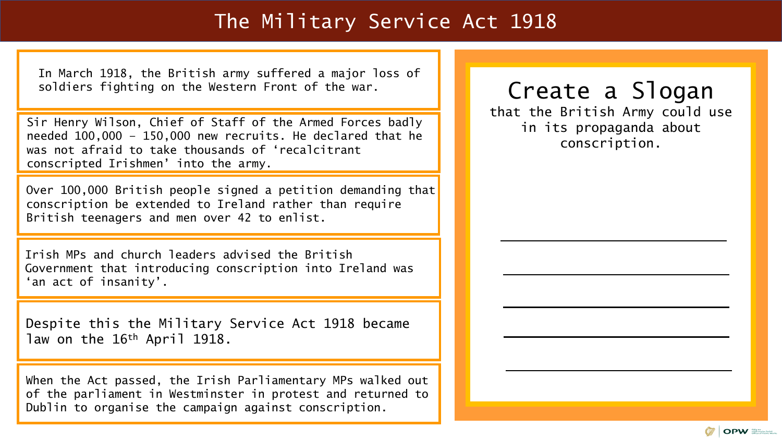#### The Military Service Act 1918

In March 1918, the British army suffered a major loss of soldiers fighting on the Western Front of the war.

Sir Henry Wilson, Chief of Staff of the Armed Forces badly needed 100,000 – 150,000 new recruits. He declared that he was not afraid to take thousands of 'recalcitrant conscripted Irishmen' into the army.

Over 100,000 British people signed a petition demanding that conscription be extended to Ireland rather than require British teenagers and men over 42 to enlist.

Irish MPs and church leaders advised the British Government that introducing conscription into Ireland was 'an act of insanity'.

Despite this the Military Service Act 1918 became law on the 16th April 1918.

When the Act passed, the Irish Parliamentary MPs walked out of the parliament in Westminster in protest and returned to Dublin to organise the campaign against conscription.

# Create a Slogan

that the British Army could use in its propaganda about conscription.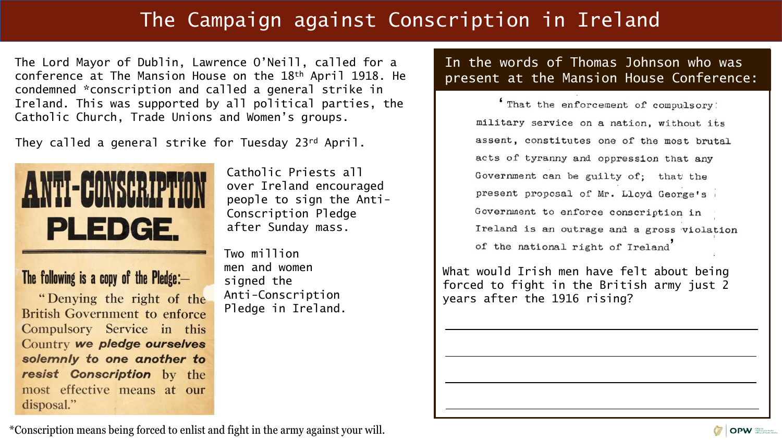# The Campaign against Conscription in Ireland

The Lord Mayor of Dublin, Lawrence O'Neill, called for a conference at The Mansion House on the 18th April 1918. He condemned \*conscription and called a general strike in Ireland. This was supported by all political parties, the Catholic Church, Trade Unions and Women's groups.

They called a general strike for Tuesday 23rd April.



The following is a copy of the Pledge: $-$ "Denying the right of the British Government to enforce Compulsory Service in this Country we pledge ourselves solemnly to one another to resist Conscription by the most effective means at our

disposal."

Catholic Priests all over Ireland encouraged people to sign the Anti-Conscription Pledge after Sunday mass.

Two million men and women signed the Anti-Conscription Pledge in Ireland. In the words of Thomas Johnson who was present at the Mansion House Conference:

> That the enforcement of compulsory: military service on a nation, without its assent, constitutes one of the most brutal acts of tyranny and oppression that any Government can be guilty of; that the present proposal of Mr. Lloyd George's Government to enforce conscription in Ireland is an outrage and a gross violation of the national right of Ireland

What would Irish men have felt about being forced to fight in the British army just 2 years after the 1916 rising?

\*Conscription means being forced to enlist and fight in the army against your will.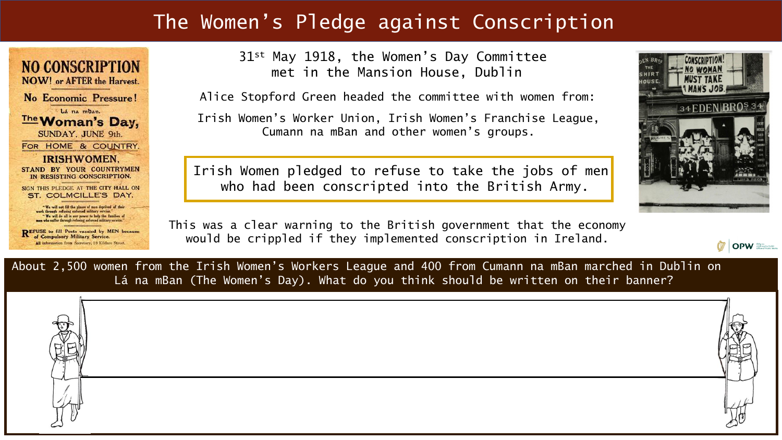### The Women's Pledge against Conscription

**NO CONSCRIPTION NOW!** or AFTER the Harvest. No Economic Pressure! Lá na mban. **The Woman's Day,** SUNDAY, JUNE 9th. FOR HOME & COUNTRY. **IRISHWOMEN.** STAND BY YOUR COUNTRYMEN IN RESISTING CONSCRIPTION. SIGN THIS PLEDGE AT THE CITY HALL ON ST. COLMCILLE'S DAY. "We will not fill the places of men deprived of their<br>work through refusing enforced military service." "We will do all in our power to help the families of<br>men who saffer through refusing caforced military service."

REFUSE to fill Posts vacated by MEN because of Compulsory Military Service. All information from Secretary, 18 Kildare Street.

31st May 1918, the Women's Day Committee met in the Mansion House, Dublin

Alice Stopford Green headed the committee with women from:

Irish Women's Worker Union, Irish Women's Franchise League, Cumann na mBan and other women's groups.

Irish Women pledged to refuse to take the jobs of men who had been conscripted into the British Army.

This was a clear warning to the British government that the economy would be crippled if they implemented conscription in Ireland.



**OPW** *OPW* 

About 2,500 women from the Irish Women's Workers League and 400 from Cumann na mBan marched in Dublin on Lá na mBan (The Women's Day). What do you think should be written on their banner?